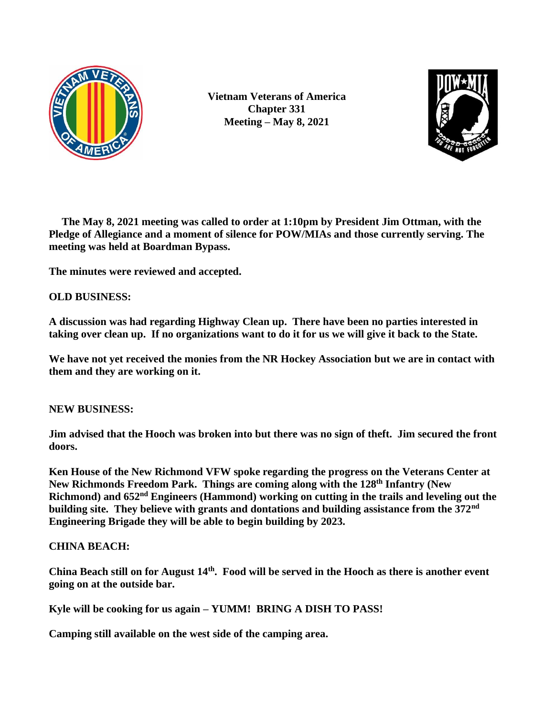

**Vietnam Veterans of America Chapter 331 Meeting – May 8, 2021**



**The May 8, 2021 meeting was called to order at 1:10pm by President Jim Ottman, with the Pledge of Allegiance and a moment of silence for POW/MIAs and those currently serving. The meeting was held at Boardman Bypass.**

**The minutes were reviewed and accepted.**

## **OLD BUSINESS:**

**A discussion was had regarding Highway Clean up. There have been no parties interested in taking over clean up. If no organizations want to do it for us we will give it back to the State.**

**We have not yet received the monies from the NR Hockey Association but we are in contact with them and they are working on it.**

## **NEW BUSINESS:**

**Jim advised that the Hooch was broken into but there was no sign of theft. Jim secured the front doors.** 

**Ken House of the New Richmond VFW spoke regarding the progress on the Veterans Center at New Richmonds Freedom Park. Things are coming along with the 128th Infantry (New Richmond) and 652nd Engineers (Hammond) working on cutting in the trails and leveling out the building site. They believe with grants and dontations and building assistance from the 372nd Engineering Brigade they will be able to begin building by 2023.**

## **CHINA BEACH:**

**China Beach still on for August 14th. Food will be served in the Hooch as there is another event going on at the outside bar.** 

**Kyle will be cooking for us again – YUMM! BRING A DISH TO PASS!**

**Camping still available on the west side of the camping area.**